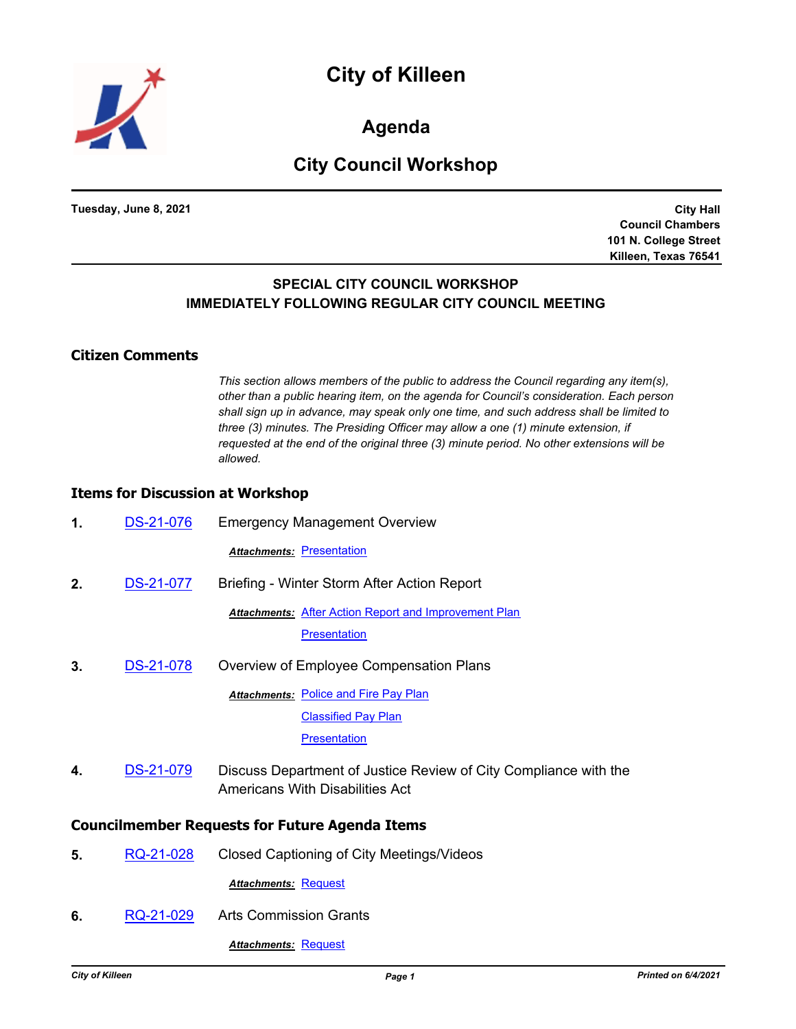

**Agenda**

# **City Council Workshop**

**Tuesday, June 8, 2021**

**City Hall Council Chambers 101 N. College Street Killeen, Texas 76541**

## **SPECIAL CITY COUNCIL WORKSHOP IMMEDIATELY FOLLOWING REGULAR CITY COUNCIL MEETING**

#### **Citizen Comments**

*This section allows members of the public to address the Council regarding any item(s), other than a public hearing item, on the agenda for Council's consideration. Each person shall sign up in advance, may speak only one time, and such address shall be limited to three (3) minutes. The Presiding Officer may allow a one (1) minute extension, if requested at the end of the original three (3) minute period. No other extensions will be allowed.*

### **Items for Discussion at Workshop**

| 1.                                                    | <b>DS-21-076</b> | <b>Emergency Management Overview</b>                                                                       |  |
|-------------------------------------------------------|------------------|------------------------------------------------------------------------------------------------------------|--|
|                                                       |                  | <b>Attachments: Presentation</b>                                                                           |  |
| $2_{\cdot}$                                           | DS-21-077        | Briefing - Winter Storm After Action Report                                                                |  |
|                                                       |                  | <b>Attachments: After Action Report and Improvement Plan</b>                                               |  |
|                                                       |                  | <b>Presentation</b>                                                                                        |  |
| 3.                                                    | DS-21-078        | Overview of Employee Compensation Plans                                                                    |  |
|                                                       |                  | <b>Attachments: Police and Fire Pay Plan</b>                                                               |  |
|                                                       |                  | <b>Classified Pay Plan</b>                                                                                 |  |
|                                                       |                  | <b>Presentation</b>                                                                                        |  |
| 4.                                                    | DS-21-079        | Discuss Department of Justice Review of City Compliance with the<br><b>Americans With Disabilities Act</b> |  |
| <b>Councilmember Requests for Future Agenda Items</b> |                  |                                                                                                            |  |
| 5.                                                    | RQ-21-028        | Closed Captioning of City Meetings/Videos                                                                  |  |
|                                                       |                  | <b>Attachments: Request</b>                                                                                |  |
| 6.                                                    | RQ-21-029        | <b>Arts Commission Grants</b>                                                                              |  |

*Attachments:* [Request](http://killeen.legistar.com/gateway.aspx?M=F&ID=feb8722c-bf7e-4751-b875-a84f158c36e9.pdf)